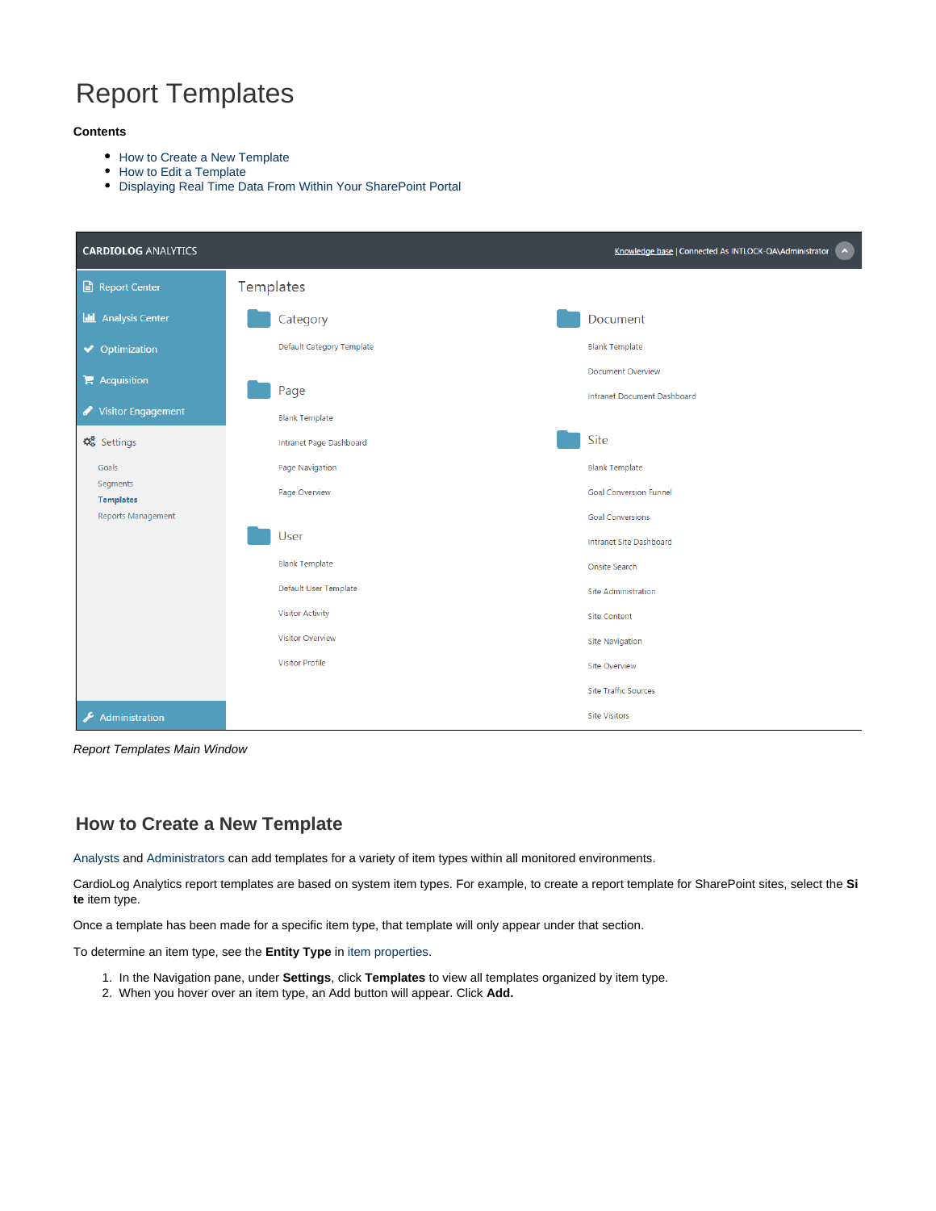# Report Templates

#### **Contents**

- [How to Create a New Template](#page-0-0)
- [How to Edit a Template](#page-1-0)
- [Displaying Real Time Data From Within Your SharePoint Portal](#page-2-0)

| <b>CARDIOLOG ANALYTICS</b>         |                           | $\sim$<br>Knowledge base   Connected As INTLOCK-QA\Administrator |
|------------------------------------|---------------------------|------------------------------------------------------------------|
| Report Center                      | Templates                 |                                                                  |
| <b>II</b> Analysis Center          | Category                  | Document                                                         |
| ◆ Optimization                     | Default Category Template | <b>Blank Template</b>                                            |
| $\blacktriangleright$ Acquisition  | Page                      | <b>Document Overview</b><br>Intranet Document Dashboard          |
| Visitor Engagement                 | <b>Blank Template</b>     |                                                                  |
| $\mathbf{\Omega}_{8}^{8}$ Settings | Intranet Page Dashboard   | Site                                                             |
| Goals                              | Page Navigation           | <b>Blank Template</b>                                            |
| Segments<br><b>Templates</b>       | Page Overview             | <b>Goal Conversion Funnel</b>                                    |
| Reports Management                 |                           | <b>Goal Conversions</b>                                          |
|                                    | User                      | Intranet Site Dashboard                                          |
|                                    | <b>Blank Template</b>     | Onsite Search                                                    |
|                                    | Default User Template     | <b>Site Administration</b>                                       |
|                                    | <b>Visitor Activity</b>   | <b>Site Content</b>                                              |
|                                    | <b>Visitor Overview</b>   | <b>Site Navigation</b>                                           |
|                                    | <b>Visitor Profile</b>    | <b>Site Overview</b>                                             |
|                                    |                           | <b>Site Traffic Sources</b>                                      |
| Administration<br>F                |                           | <b>Site Visitors</b>                                             |

Report Templates Main Window

## <span id="page-0-0"></span>**How to Create a New Template**

[Analysts](https://kb.intlock.com/display/Support/Roles#Roles-analyst) and [Administrators](https://kb.intlock.com/display/Support/Roles#Roles-admin) can add templates for a variety of item types within all monitored environments.

CardioLog Analytics report templates are based on system item types. For example, to create a report template for SharePoint sites, select the **Si te** item type.

Once a template has been made for a specific item type, that template will only appear under that section.

To determine an item type, see the **Entity Type** in [item properties](https://kb.intlock.com/display/Support/Analysis+Center#AnalysisCenter-viewproperties).

- 1. In the Navigation pane, under **Settings**, click **Templates** to view all templates organized by item type.
- 2. When you hover over an item type, an Add button will appear. Click **Add.**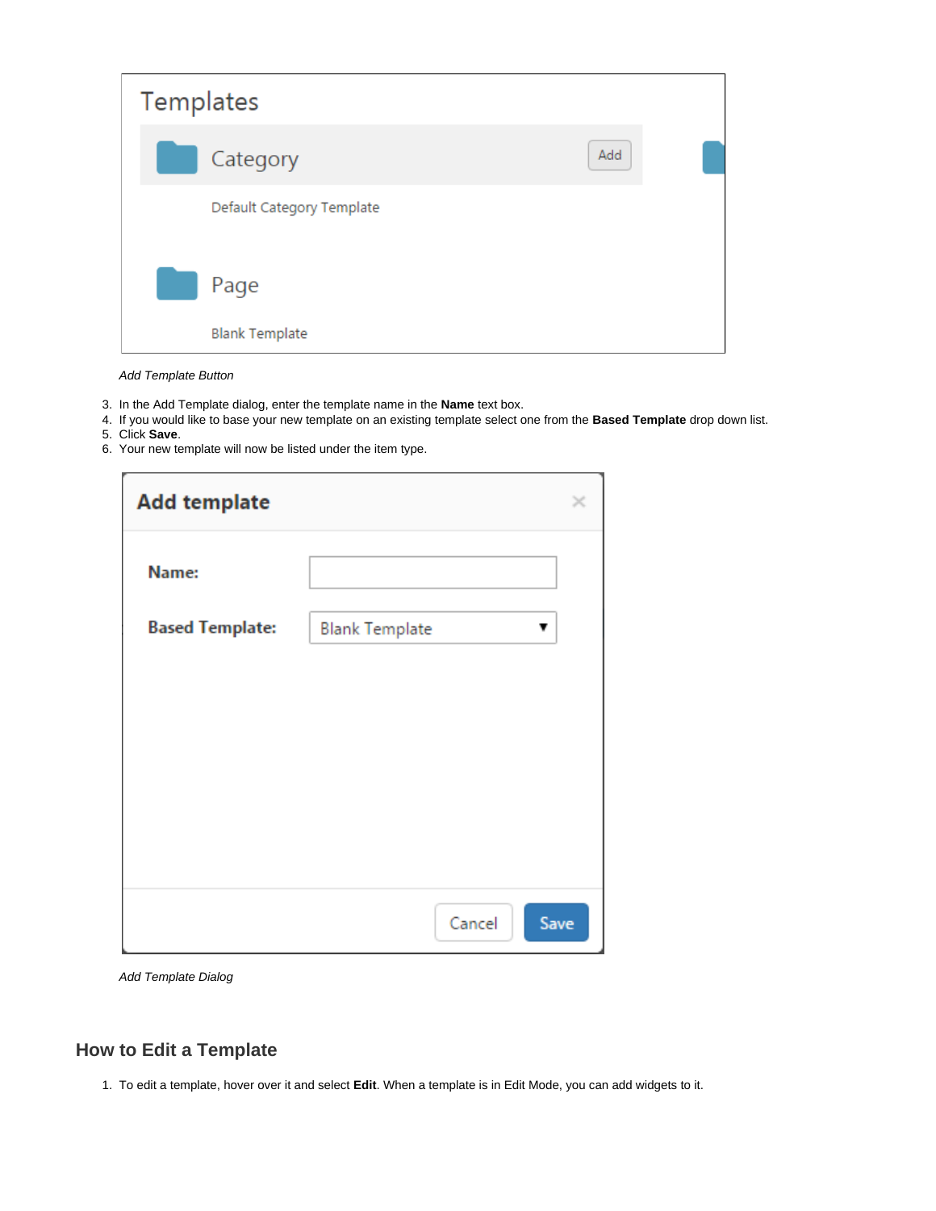| Templates                     |     |  |
|-------------------------------|-----|--|
| Category                      | Add |  |
| Default Category Template     |     |  |
| Page<br><b>Blank Template</b> |     |  |

Add Template Button

- 3. In the Add Template dialog, enter the template name in the **Name** text box.
- 4. If you would like to base your new template on an existing template select one from the **Based Template** drop down list.
- 5. Click **Save**.
- 6. Your new template will now be listed under the item type.

| <b>Add template</b>    |                            |  |
|------------------------|----------------------------|--|
| Name:                  |                            |  |
| <b>Based Template:</b> | <b>Blank Template</b><br>v |  |
|                        |                            |  |
|                        |                            |  |
|                        |                            |  |
|                        |                            |  |
|                        | Cancel<br>Save             |  |

Add Template Dialog

## <span id="page-1-0"></span>**How to Edit a Template**

1. To edit a template, hover over it and select **Edit**. When a template is in Edit Mode, you can add widgets to it.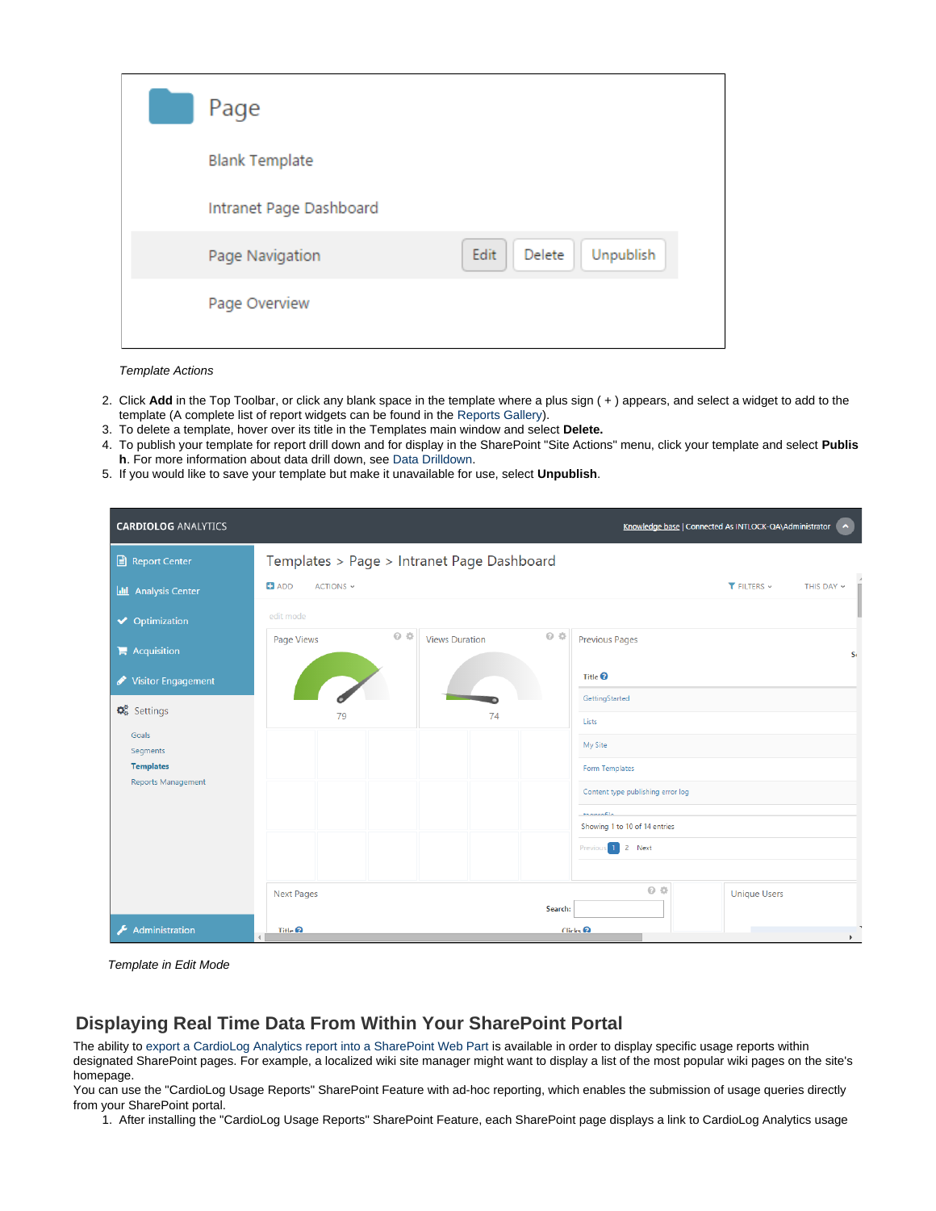| Page                    |                             |
|-------------------------|-----------------------------|
| <b>Blank Template</b>   |                             |
| Intranet Page Dashboard |                             |
| Page Navigation         | Edit<br>Delete<br>Unpublish |
| Page Overview           |                             |
|                         |                             |

Template Actions

- 2. Click **Add** in the Top Toolbar, or click any blank space in the template where a plus sign ( + ) appears, and select a widget to add to the template (A complete list of report widgets can be found in the [Reports Gallery\)](http://www.intlock.com/intlocksite/ProductsAndServices/CardioLog/Reports-Gallery.asp).
- 3. To delete a template, hover over its title in the Templates main window and select **Delete.**
- 4. To publish your template for report drill down and for display in the SharePoint "Site Actions" menu, click your template and select **Publis h**. For more information about data drill down, see [Data Drilldown](https://kb.intlock.com/display/Support/Widgets#Widgets-datadrilldown).
- 5. If you would like to save your template but make it unavailable for use, select **Unpublish**.

| <b>CARDIOLOG ANALYTICS</b>                    |                                            |                                              | Knowledge base   Connected As INTLOCK-QA\Administrator   A |  |
|-----------------------------------------------|--------------------------------------------|----------------------------------------------|------------------------------------------------------------|--|
| Report Center                                 | Templates > Page > Intranet Page Dashboard |                                              |                                                            |  |
| <b>III</b> Analysis Center                    | $\blacksquare$ ADD<br>ACTIONS ~            |                                              | $T$ FILTERS $\sim$<br>THIS DAY ~                           |  |
| ◆ Optimization                                | edit mode                                  |                                              |                                                            |  |
| $\blacktriangleright$ Acquisition             | $Q$ $\Diamond$<br>Page Views               | $Q \Leftrightarrow$<br><b>Views Duration</b> | <b>Previous Pages</b><br>$S_t$                             |  |
| Visitor Engagement                            |                                            |                                              | Title $\boldsymbol{\Theta}$                                |  |
| $\mathbf{\Omega}_{8}^{8}$ Settings            | 79                                         | 74                                           | GettingStarted                                             |  |
| Goals                                         |                                            |                                              | Lists                                                      |  |
| Segments                                      |                                            |                                              | My Site                                                    |  |
| <b>Templates</b><br><b>Reports Management</b> |                                            |                                              | Form Templates                                             |  |
|                                               |                                            |                                              | Content type publishing error log                          |  |
|                                               |                                            |                                              | <b>Hammedia</b><br>Showing 1 to 10 of 14 entries           |  |
|                                               |                                            |                                              | 1 2 Next<br>Previous                                       |  |
|                                               |                                            |                                              |                                                            |  |
|                                               | <b>Next Pages</b>                          |                                              | $Q \Leftrightarrow$<br><b>Unique Users</b>                 |  |
|                                               |                                            | Search:                                      |                                                            |  |
| Administration                                | Title <sup>2</sup>                         |                                              | $C$ licks $\Omega$<br>$\mathbf{r}$                         |  |

Template in Edit Mode

## <span id="page-2-0"></span>**Displaying Real Time Data From Within Your SharePoint Portal**

The ability t[o export a CardioLog Analytics report into a SharePoint Web Part](https://kb.intlock.com/display/Support/Report+Center#ReportCenter-exportsharepoint) is available in order to display specific usage reports within designated SharePoint pages. For example, a localized wiki site manager might want to display a list of the most popular wiki pages on the site's homepage.

You can use the "CardioLog Usage Reports" SharePoint Feature with ad-hoc reporting, which enables the submission of usage queries directly from your SharePoint portal.

1. After installing the "CardioLog Usage Reports" SharePoint Feature, each SharePoint page displays a link to CardioLog Analytics usage